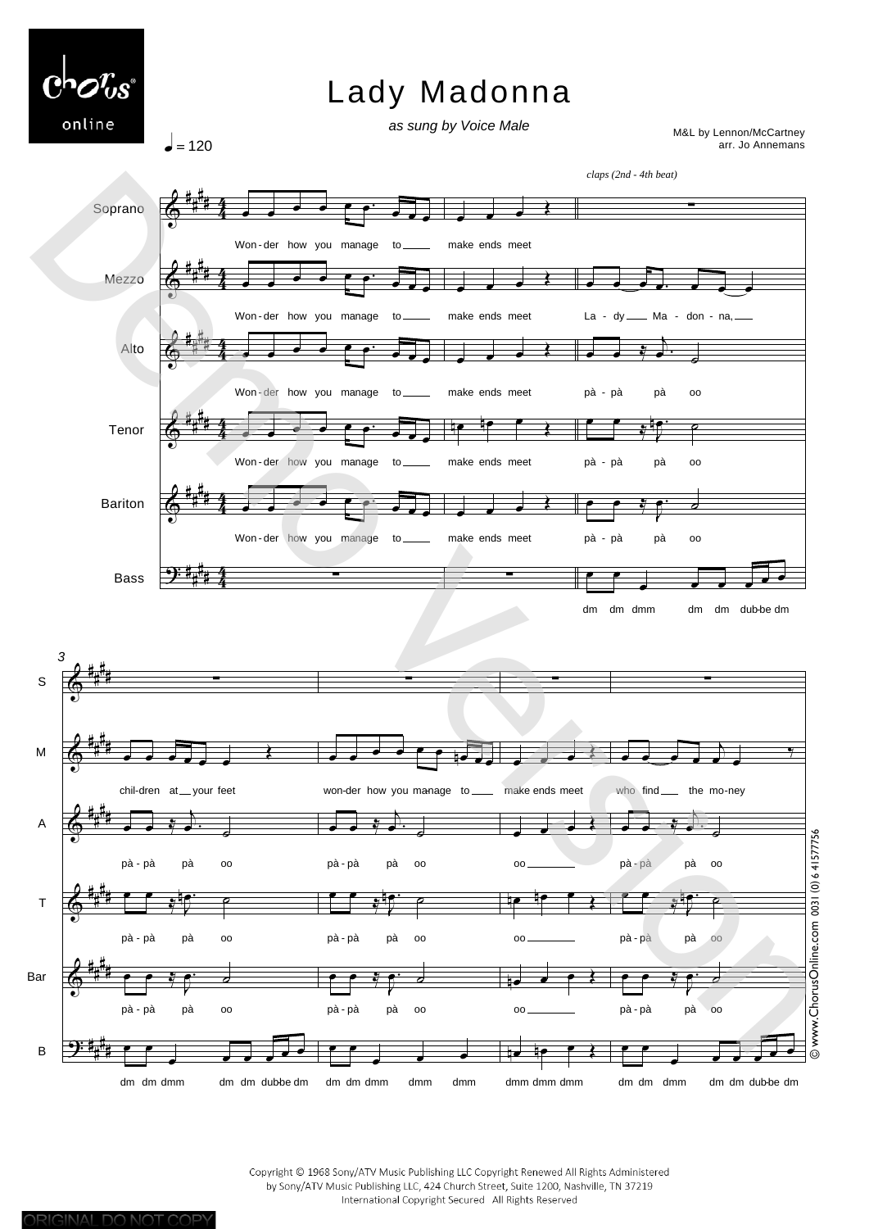

.<br>م <del>ف</del> ف م

pà pà pà oo -

J  $\overline{\mathbf{e}}$   $\overline{\mathbf{e}}$ 

<sup>œ</sup> <sup>œ</sup> <sup>œ</sup> <sup>œ</sup> <sup>œ</sup> dm dm dmm dmm dmm

Copyright © 1968 Sony/ATV Music Publishing LLC Copyright Renewed All Rights Administered by Sony/ATV Music Publishing LLC, 424 Church Street, Suite 1200, Nashville, TN 37219 International Copyright Secured All Rights Reserved

 $\frac{1}{2}$  e  $\frac{1}{2}$ 

 $e$   $e$   $3e$ 

pà pà pà oo -

₹  $\overline{P}$   $c$ 

<sup>œ</sup> <sup>œ</sup> <sup>œ</sup> <sup>œ</sup> <sup>œ</sup> <sup>œ</sup> <sup>œ</sup> <sup>œ</sup> dm dm dmm dm dm dubbe dm

<u>de de le 3</u>

oo

dmm dmm dmm - -

 $\Phi$ 

Bar

B

# # # #

.<br>م ي م م م

J  $\overline{p}$   $\overline{q}$ 

<sup>œ</sup> <sup>œ</sup> <sup>œ</sup> <sup>œ</sup> <sup>œ</sup> <sup>œ</sup> <sup>œ</sup> <sup>œ</sup> dm dm dmm dm dm dubbe dm

pà pà pà oo -

 $\overline{\mathbf{P}}$ 

# # # #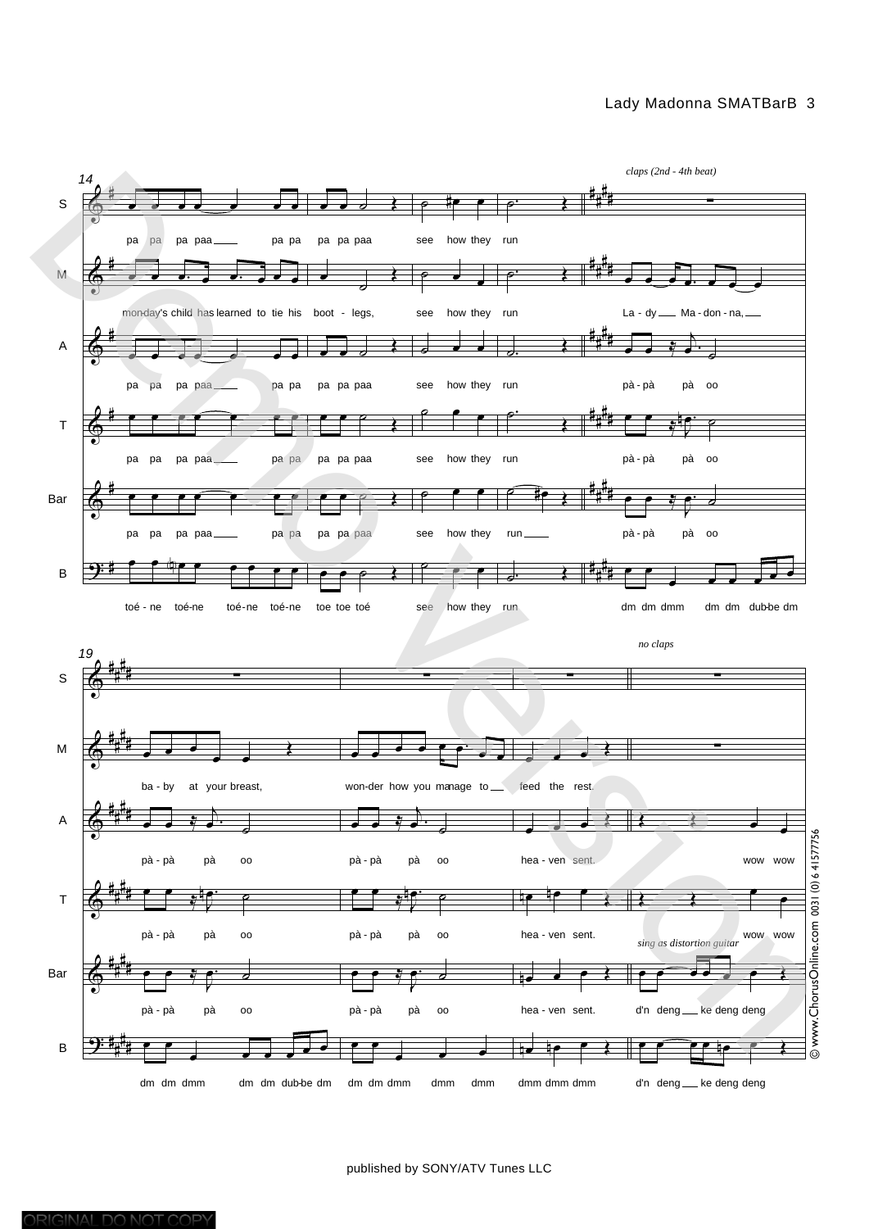## Lady Madonna SMATBarB 3



published by SONY/ATV Tunes LLC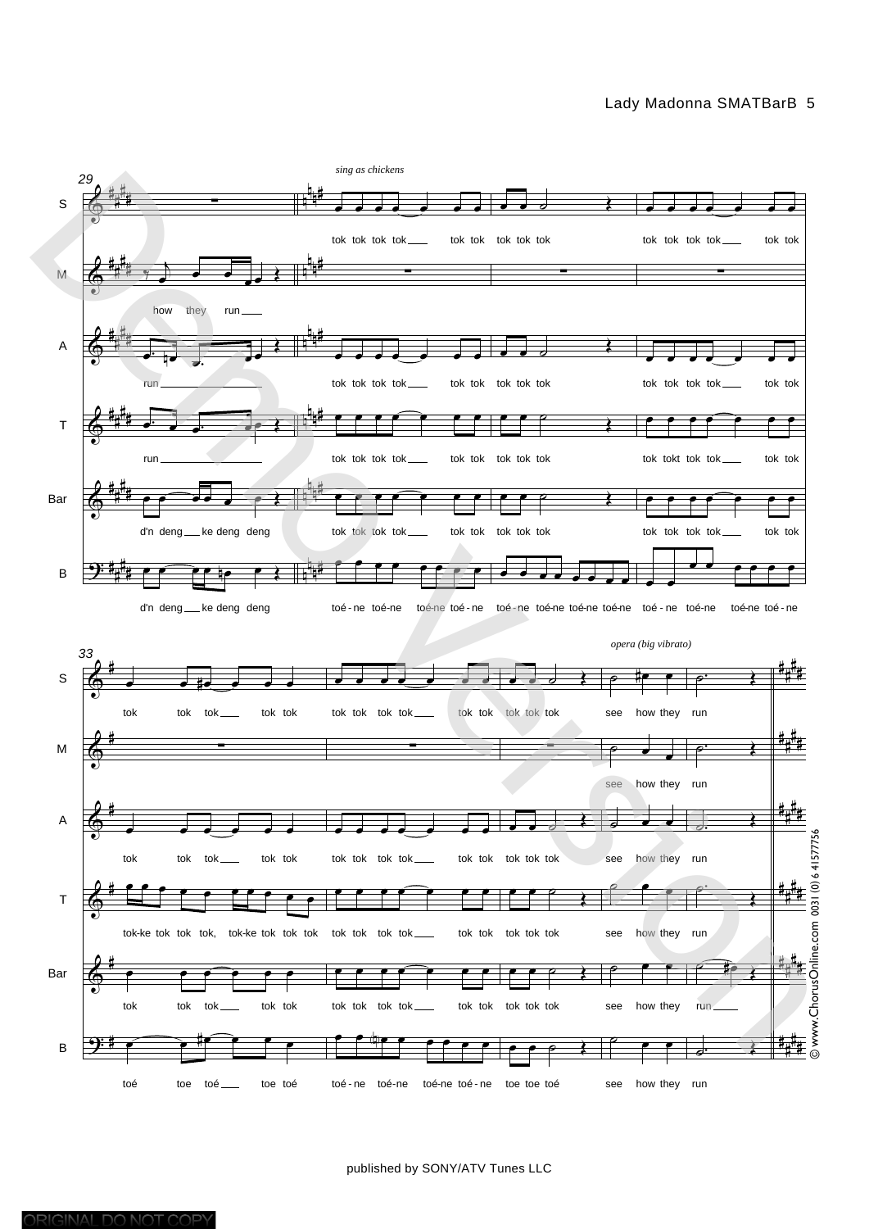## Lady Madonna SMATBarB 5



published by SONY/ATV Tunes LLC